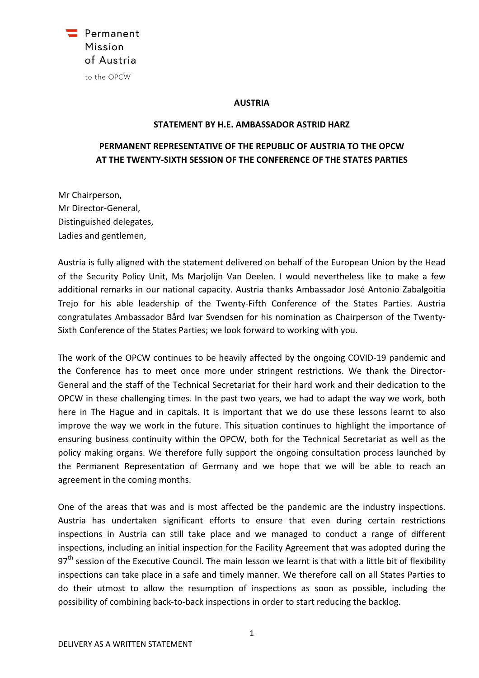

## AUSTRIA

## STATEMENT BY H.E. AMBASSADOR ASTRID HARZ

## PERMANENT REPRESENTATIVE OF THE REPUBLIC OF AUSTRIA TO THE OPCW AT THE TWENTY-SIXTH SESSION OF THE CONFERENCE OF THE STATES PARTIES

Mr Chairperson, Mr Director-General, Distinguished delegates, Ladies and gentlemen,

Austria is fully aligned with the statement delivered on behalf of the European Union by the Head of the Security Policy Unit, Ms Marjolijn Van Deelen. I would nevertheless like to make a few additional remarks in our national capacity. Austria thanks Ambassador José Antonio Zabalgoitia Trejo for his able leadership of the Twenty-Fifth Conference of the States Parties. Austria congratulates Ambassador Bård Ivar Svendsen for his nomination as Chairperson of the Twenty-Sixth Conference of the States Parties; we look forward to working with you.

The work of the OPCW continues to be heavily affected by the ongoing COVID-19 pandemic and the Conference has to meet once more under stringent restrictions. We thank the Director-General and the staff of the Technical Secretariat for their hard work and their dedication to the OPCW in these challenging times. In the past two years, we had to adapt the way we work, both here in The Hague and in capitals. It is important that we do use these lessons learnt to also improve the way we work in the future. This situation continues to highlight the importance of ensuring business continuity within the OPCW, both for the Technical Secretariat as well as the policy making organs. We therefore fully support the ongoing consultation process launched by the Permanent Representation of Germany and we hope that we will be able to reach an agreement in the coming months.

One of the areas that was and is most affected be the pandemic are the industry inspections. Austria has undertaken significant efforts to ensure that even during certain restrictions inspections in Austria can still take place and we managed to conduct a range of different inspections, including an initial inspection for the Facility Agreement that was adopted during the  $97<sup>th</sup>$  session of the Executive Council. The main lesson we learnt is that with a little bit of flexibility inspections can take place in a safe and timely manner. We therefore call on all States Parties to do their utmost to allow the resumption of inspections as soon as possible, including the possibility of combining back-to-back inspections in order to start reducing the backlog.